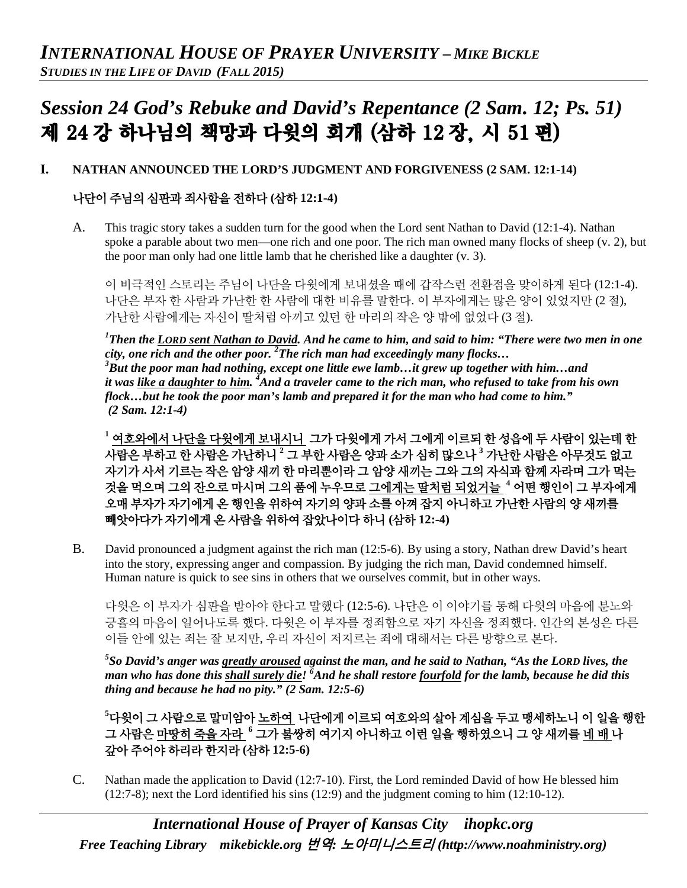# *Session 24 God's Rebuke and David's Repentance (2 Sam. 12; Ps. 51)* 제 24 강 하나님의 책망과 다윗의 회개 (삼하 12 장, 시 51 편)

#### **I. NATHAN ANNOUNCED THE LORD'S JUDGMENT AND FORGIVENESS (2 SAM. 12:1-14)**

## 나단이 주님의 심판과 죄사함을 전하다 **(**삼하 **12:1-4)**

A. This tragic story takes a sudden turn for the good when the Lord sent Nathan to David (12:1-4). Nathan spoke a parable about two men—one rich and one poor. The rich man owned many flocks of sheep (v. 2), but the poor man only had one little lamb that he cherished like a daughter (v. 3).

이 비극적인 스토리는 주님이 나단을 다윗에게 보내셨을 때에 갑작스런 전환점을 맞이하게 된다 (12:1-4). 나단은 부자 한 사람과 가난한 한 사람에 대한 비유를 말한다. 이 부자에게는 많은 양이 있었지만 (2 절), 가난한 사람에게는 자신이 딸처럼 아끼고 있던 한 마리의 작은 양 밖에 없었다 (3 절).

*1 Then the LORD sent Nathan to David. And he came to him, and said to him: "There were two men in one city, one rich and the other poor. 2 The rich man had exceedingly many flocks… <sup>3</sup> But the poor man had nothing, except one little ewe lamb…it grew up together with him…and it was like a daughter to him. 4 And a traveler came to the rich man, who refused to take from his own flock…but he took the poor man's lamb and prepared it for the man who had come to him." (2 Sam. 12:1-4)*

**<sup>1</sup>** 여호와에서 나단을 다윗에게 보내시니 그가 다윗에게 가서 그에게 이르되 한 성읍에 두 사람이 있는데 한 사람은 부하고 한 사람은 가난하니 **<sup>2</sup>** 그 부한 사람은 양과 소가 심히 많으나 **<sup>3</sup>** 가난한 사람은 아무것도 없고 자기가 사서 기르는 작은 암양 새끼 한 마리뿐이라 그 암양 새끼는 그와 그의 자식과 함께 자라며 그가 먹는 것을 먹으며 그의 잔으로 마시며 그의 품에 누우므로 그에게는 딸처럼 되었거늘 **<sup>4</sup>** 어떤 행인이 그 부자에게 오매 부자가 자기에게 온 행인을 위하여 자기의 양과 소를 아껴 잡지 아니하고 가난한 사람의 양 새끼를 빼앗아다가 자기에게 온 사람을 위하여 잡았나이다 하니 **(**삼하 **12:-4)**

B. David pronounced a judgment against the rich man (12:5-6). By using a story, Nathan drew David's heart into the story, expressing anger and compassion. By judging the rich man, David condemned himself. Human nature is quick to see sins in others that we ourselves commit, but in other ways.

다윗은 이 부자가 심판을 받아야 한다고 말했다 (12:5-6). 나단은 이 이야기를 통해 다윗의 마음에 분노와 긍휼의 마음이 일어나도록 했다. 다윗은 이 부자를 정죄함으로 자기 자신을 정죄했다. 인간의 본성은 다른 이들 안에 있는 죄는 잘 보지만, 우리 자신이 저지르는 죄에 대해서는 다른 방향으로 본다.

*5 So David's anger was greatly aroused against the man, and he said to Nathan, "As the LORD lives, the man who has done this shall surely die! <sup>6</sup> And he shall restore fourfold for the lamb, because he did this thing and because he had no pity." (2 Sam. 12:5-6)*

**5** 다윗이 그 사람으로 말미암아 노하여 나단에게 이르되 여호와의 살아 계심을 두고 맹세하노니 이 일을 행한 그 사람은 마땅히 죽을 자라 **<sup>6</sup>** 그가 불쌍히 여기지 아니하고 이런 일을 행하였으니 그 양 새끼를 네 배 나 갚아 주어야 하리라 한지라 **(**삼하 **12:5-6)**

C. Nathan made the application to David (12:7-10). First, the Lord reminded David of how He blessed him (12:7-8); next the Lord identified his sins (12:9) and the judgment coming to him (12:10-12).

*International House of Prayer of Kansas City [ihopkc.org](http://www.ihopkc.org/) Free Teaching Library [mikebickle.org](http://www.mikebickle.org/)* 번역*:* 노아미니스트리 *(http://www.noahministry.org)*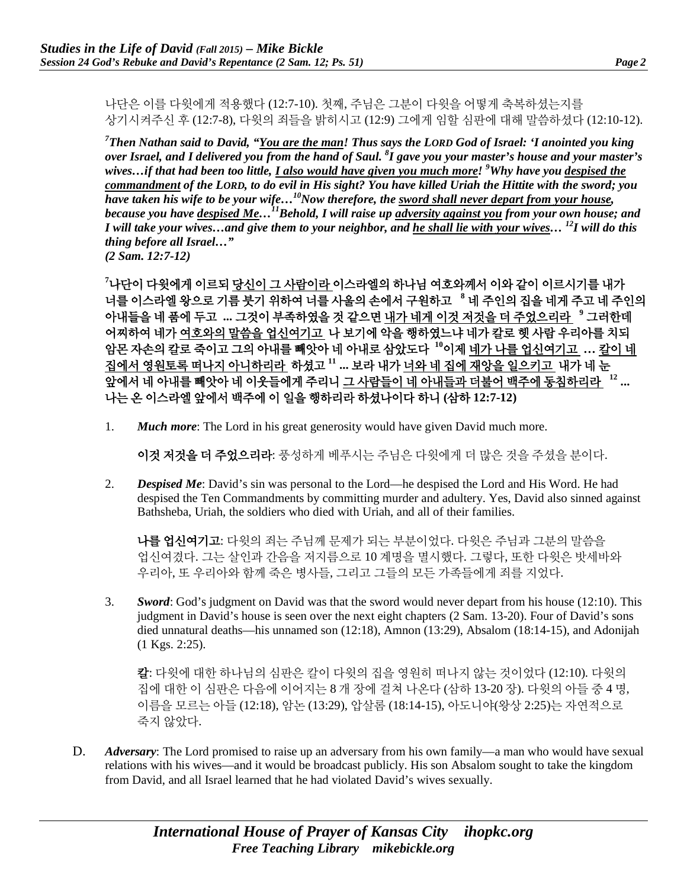나단은 이를 다윗에게 적용했다 (12:7-10). 첫째, 주님은 그분이 다윗을 어떻게 축복하셨는지를 상기시켜주신 후 (12:7-8), 다윗의 죄들을 밝히시고 (12:9) 그에게 임할 심판에 대해 말씀하셨다 (12:10-12).

*7 Then Nathan said to David, "You are the man! Thus says the LORD God of Israel: 'I anointed you king over Israel, and I delivered you from the hand of Saul. 8 I gave you your master's house and your master's wives…if that had been too little, I also would have given you much more! <sup>9</sup> Why have you despised the commandment of the LORD, to do evil in His sight? You have killed Uriah the Hittite with the sword; you have taken his wife to be your wife…10Now therefore, the sword shall never depart from your house, because you have despised Me…11Behold, I will raise up adversity against you from your own house; and I will take your wives…and give them to your neighbor, and he shall lie with your wives… 12I will do this thing before all Israel…" (2 Sam. 12:7-12)*

**7** 나단이 다윗에게 이르되 당신이 그 사람이라 이스라엘의 하나님 여호와께서 이와 같이 이르시기를 내가 너를 이스라엘 왕으로 기름 붓기 위하여 너를 사울의 손에서 구원하고 **<sup>8</sup>** 네 주인의 집을 네게 주고 네 주인의 아내들을 네 품에 두고 **...** 그것이 부족하였을 것 같으면 내가 네게 이것 저것을 더 주었으리라 **<sup>9</sup>** 그러한데 어찌하여 네가 여호와의 말씀을 업신여기고 나 보기에 악을 행하였느냐 네가 칼로 헷 사람 우리아를 치되 암몬 자손의 칼로 죽이고 그의 아내를 빼앗아 네 아내로 삼았도다 **<sup>10</sup>**이제 네가 나를 업신여기고 **…** 칼이 네 집에서 영원토록 떠나지 아니하리라 하셨고 **<sup>11</sup> ...** 보라 내가 너와 네 집에 재앙을 일으키고 내가 네 눈 앞에서 네 아내를 빼앗아 네 이웃들에게 주리니 그 사람들이 네 아내들과 더불어 백주에 동침하리라 **<sup>12</sup> ...** 나는 온 이스라엘 앞에서 백주에 이 일을 행하리라 하셨나이다 하니 **(**삼하 **12:7-12)**

1. *Much more*: The Lord in his great generosity would have given David much more.

이것 저것을 더 주었으리라: 풍성하게 베푸시는 주님은 다윗에게 더 많은 것을 주셨을 분이다.

2. *Despised Me*: David's sin was personal to the Lord—he despised the Lord and His Word. He had despised the Ten Commandments by committing murder and adultery. Yes, David also sinned against Bathsheba, Uriah, the soldiers who died with Uriah, and all of their families.

나를 업신여기고: 다윗의 죄는 주님께 문제가 되는 부분이었다. 다윗은 주님과 그분의 말씀을 업신여겼다. 그는 살인과 간음을 저지름으로 10 계명을 멸시했다. 그렇다, 또한 다윗은 밧세바와 우리아, 또 우리아와 함께 죽은 병사들, 그리고 그들의 모든 가족들에게 죄를 지었다.

3. *Sword*: God's judgment on David was that the sword would never depart from his house (12:10). This judgment in David's house is seen over the next eight chapters (2 Sam. 13-20). Four of David's sons died unnatural deaths—his unnamed son (12:18), Amnon (13:29), Absalom (18:14-15), and Adonijah (1 Kgs. 2:25).

칼: 다윗에 대한 하나님의 심판은 칼이 다윗의 집을 영원히 떠나지 않는 것이었다 (12:10). 다윗의 집에 대한 이 심판은 다음에 이어지는 8 개 장에 걸쳐 나온다 (삼하 13-20 장). 다윗의 아들 중 4 명, 이름을 모르는 아들 (12:18), 암논 (13:29), 압살롬 (18:14-15), 아도니야(왕상 2:25)는 자연적으로 죽지 않았다.

D. *Adversary*: The Lord promised to raise up an adversary from his own family—a man who would have sexual relations with his wives—and it would be broadcast publicly. His son Absalom sought to take the kingdom from David, and all Israel learned that he had violated David's wives sexually.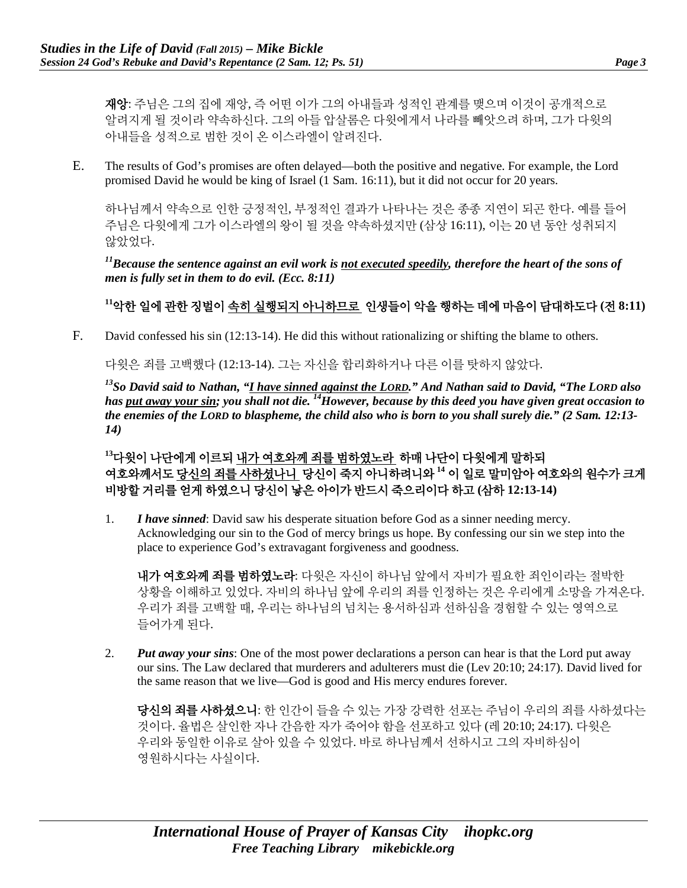재앙: 주님은 그의 집에 재앙, 즉 어떤 이가 그의 아내들과 성적인 관계를 맺으며 이것이 공개적으로 알려지게 될 것이라 약속하신다. 그의 아들 압살롬은 다윗에게서 나라를 빼앗으려 하며, 그가 다윗의 아내들을 성적으로 범한 것이 온 이스라엘이 알려진다.

E. The results of God's promises are often delayed—both the positive and negative. For example, the Lord promised David he would be king of Israel (1 Sam. 16:11), but it did not occur for 20 years.

하나님께서 약속으로 인한 긍정적인, 부정적인 결과가 나타나는 것은 종종 지연이 되곤 한다. 예를 들어 주님은 다윗에게 그가 이스라엘의 왕이 될 것을 약속하셨지만 (삼상 16:11), 이는 20 년 동안 성취되지 않았었다.

*11Because the sentence against an evil work is not executed speedily, therefore the heart of the sons of men is fully set in them to do evil. (Ecc. 8:11)*

## **<sup>11</sup>**악한 일에 관한 징벌이 속히 실행되지 아니하므로 인생들이 악을 행하는 데에 마음이 담대하도다 **(**전 **8:11)**

F. David confessed his sin (12:13-14). He did this without rationalizing or shifting the blame to others.

다윗은 죄를 고백했다 (12:13-14). 그는 자신을 합리화하거나 다른 이를 탓하지 않았다.

<sup>13</sup>So David said to Nathan, "<u>I have sinned against the LORD</u>," And Nathan said to David, "The LORD also *has put away your sin; you shall not die. 14However, because by this deed you have given great occasion to the enemies of the LORD to blaspheme, the child also who is born to you shall surely die." (2 Sam. 12:13- 14)*

**<sup>13</sup>**다윗이 나단에게 이르되 내가 여호와께 죄를 범하였노라 하매 나단이 다윗에게 말하되 여호와께서도 당신의 죄를 사하셨나니 당신이 죽지 아니하려니와 **<sup>14</sup>** 이 일로 말미암아 여호와의 원수가 크게 비방할 거리를 얻게 하였으니 당신이 낳은 아이가 반드시 죽으리이다 하고 **(**삼하 **12:13-14)**

1. *I have sinned*: David saw his desperate situation before God as a sinner needing mercy. Acknowledging our sin to the God of mercy brings us hope. By confessing our sin we step into the place to experience God's extravagant forgiveness and goodness.

내가 여호와께 죄를 범하였노라: 다윗은 자신이 하나님 앞에서 자비가 필요한 죄인이라는 절박한 상황을 이해하고 있었다. 자비의 하나님 앞에 우리의 죄를 인정하는 것은 우리에게 소망을 가져온다. 우리가 죄를 고백할 때, 우리는 하나님의 넘치는 용서하심과 선하심을 경험할 수 있는 영역으로 들어가게 된다.

2. *Put away your sins*: One of the most power declarations a person can hear is that the Lord put away our sins. The Law declared that murderers and adulterers must die (Lev 20:10; 24:17). David lived for the same reason that we live—God is good and His mercy endures forever.

당신의 죄를 사하셨으니: 한 인간이 들을 수 있는 가장 강력한 선포는 주님이 우리의 죄를 사하셨다는 것이다. 율법은 살인한 자나 간음한 자가 죽어야 함을 선포하고 있다 (레 20:10; 24:17). 다윗은 우리와 동일한 이유로 살아 있을 수 있었다. 바로 하나님께서 선하시고 그의 자비하심이 영원하시다는 사실이다.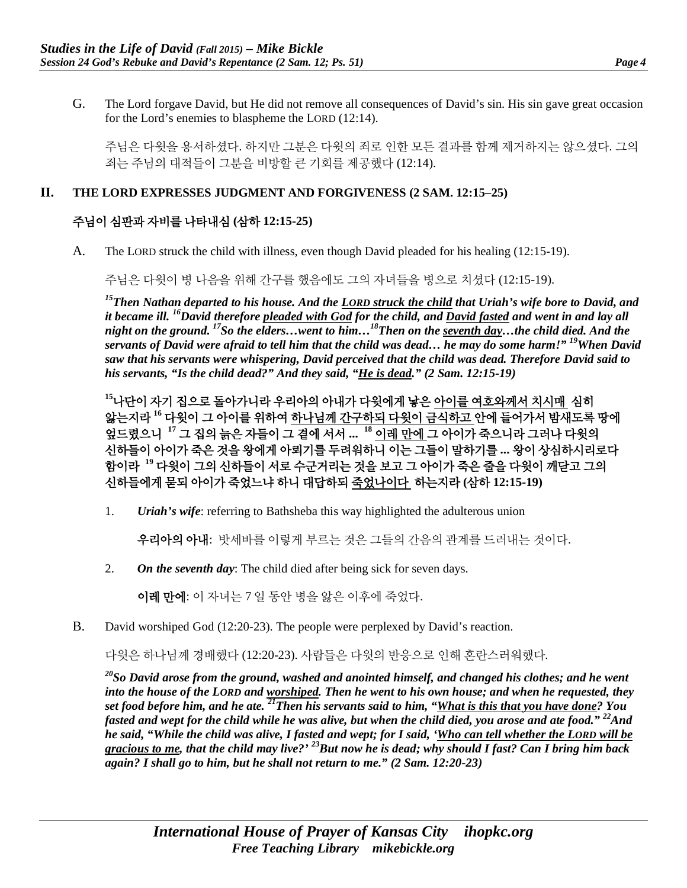G. The Lord forgave David, but He did not remove all consequences of David's sin. His sin gave great occasion for the Lord's enemies to blaspheme the LORD (12:14).

주님은 다윗을 용서하셨다. 하지만 그분은 다윗의 죄로 인한 모든 결과를 함께 제거하지는 않으셨다. 그의 죄는 주님의 대적들이 그분을 비방할 큰 기회를 제공했다 (12:14).

#### **II. THE LORD EXPRESSES JUDGMENT AND FORGIVENESS (2 SAM. 12:15–25)**

### 주님이 심판과 자비를 나타내심 **(**삼하 **12:15-25)**

A. The LORD struck the child with illness, even though David pleaded for his healing (12:15-19).

주님은 다윗이 병 나음을 위해 간구를 했음에도 그의 자녀들을 병으로 치셨다 (12:15-19).

*15Then Nathan departed to his house. And the LORD struck the child that Uriah's wife bore to David, and it became ill. 16David therefore pleaded with God for the child, and David fasted and went in and lay all night on the ground. 17So the elders…went to him…18Then on the seventh day…the child died. And the servants of David were afraid to tell him that the child was dead… he may do some harm!" 19When David saw that his servants were whispering, David perceived that the child was dead. Therefore David said to his servants, "Is the child dead?" And they said, "He is dead." (2 Sam. 12:15-19)*

**<sup>15</sup>**나단이 자기 집으로 돌아가니라 우리아의 아내가 다윗에게 낳은 아이를 여호와께서 치시매 심히 앓는지라 **<sup>16</sup>** 다윗이 그 아이를 위하여 하나님께 간구하되 다윗이 금식하고 안에 들어가서 밤새도록 땅에 엎드렸으니 **<sup>17</sup>** 그 집의 늙은 자들이 그 곁에 서서 **... <sup>18</sup>** 이레 만에 그 아이가 죽으니라 그러나 다윗의 신하들이 아이가 죽은 것을 왕에게 아뢰기를 두려워하니 이는 그들이 말하기를 **...** 왕이 상심하시리로다 함이라 **<sup>19</sup>** 다윗이 그의 신하들이 서로 수군거리는 것을 보고 그 아이가 죽은 줄을 다윗이 깨닫고 그의 신하들에게 묻되 아이가 죽었느냐 하니 대답하되 죽었나이다 하는지라 **(**삼하 **12:15-19)**

1. *Uriah's wife*: referring to Bathsheba this way highlighted the adulterous union

우리아의 아내: 밧세바를 이렇게 부르는 것은 그들의 간음의 관계를 드러내는 것이다.

2. *On the seventh day*: The child died after being sick for seven days.

이레 만에: 이 자녀는 7 일 동안 병을 앓은 이후에 죽었다.

B. David worshiped God (12:20-23). The people were perplexed by David's reaction.

다윗은 하나님께 경배했다 (12:20-23). 사람들은 다윗의 반응으로 인해 혼란스러워했다.

*20So David arose from the ground, washed and anointed himself, and changed his clothes; and he went into the house of the LORD and worshiped. Then he went to his own house; and when he requested, they set food before him, and he ate. 21Then his servants said to him, "What is this that you have done? You fasted and wept for the child while he was alive, but when the child died, you arose and ate food." 22And he said, "While the child was alive, I fasted and wept; for I said, 'Who can tell whether the LORD will be gracious to me, that the child may live?' 23But now he is dead; why should I fast? Can I bring him back again? I shall go to him, but he shall not return to me." (2 Sam. 12:20-23)*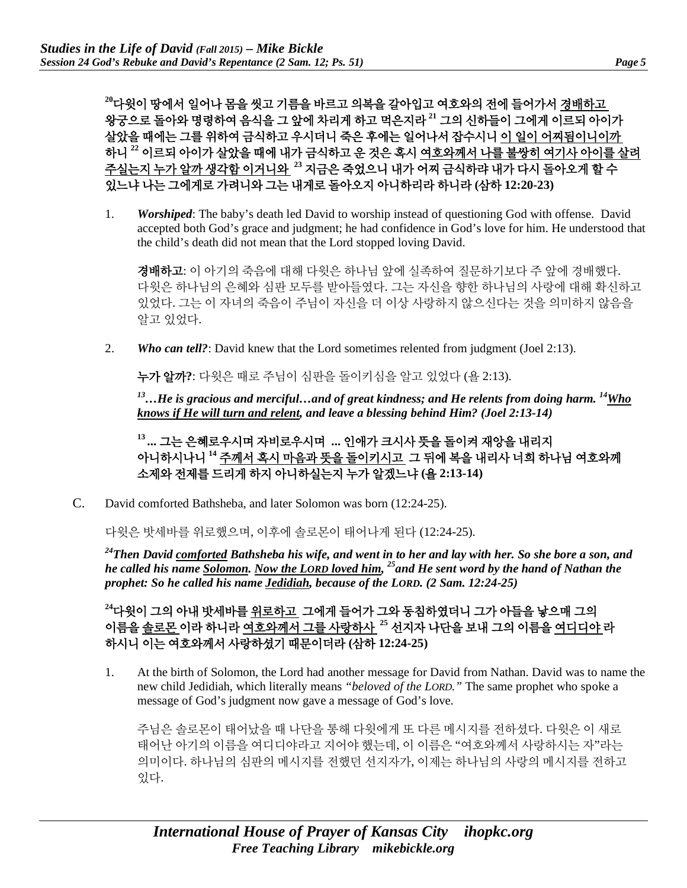**<sup>20</sup>**다윗이 땅에서 일어나 몸을 씻고 기름을 바르고 의복을 갈아입고 여호와의 전에 들어가서 경배하고 왕궁으로 돌아와 명령하여 음식을 그 앞에 차리게 하고 먹은지라 **<sup>21</sup>** 그의 신하들이 그에게 이르되 아이가 살았을 때에는 그를 위하여 금식하고 우시더니 죽은 후에는 일어나서 잡수시니 이 일이 어찌됨이니이까 하니 **<sup>22</sup>** 이르되 아이가 살았을 때에 내가 금식하고 운 것은 혹시 여호와께서 나를 불쌍히 여기사 아이를 살려 주실는지 누가 알까 생각함 이거니와 **<sup>23</sup>** 지금은 죽었으니 내가 어찌 금식하랴 내가 다시 돌아오게 할 수 있느냐 나는 그에게로 가려니와 그는 내게로 돌아오지 아니하리라 하니라 **(**삼하 **12:20-23)**

1. *Worshiped*: The baby's death led David to worship instead of questioning God with offense. David accepted both God's grace and judgment; he had confidence in God's love for him. He understood that the child's death did not mean that the Lord stopped loving David.

경배하고: 이 아기의 죽음에 대해 다윗은 하나님 앞에 실족하여 질문하기보다 주 앞에 경배했다. 다윗은 하나님의 은혜와 심판 모두를 받아들였다. 그는 자신을 향한 하나님의 사랑에 대해 확신하고 있었다. 그는 이 자녀의 죽음이 주님이 자신을 더 이상 사랑하지 않으신다는 것을 의미하지 않음을 알고 있었다.

2. **Who can tell?**: David knew that the Lord sometimes relented from judgment (Joel 2:13).

누가 알까**?**: 다윗은 때로 주님이 심판을 돌이키심을 알고 있었다 (욜 2:13).

*13…He is gracious and merciful…and of great kindness; and He relents from doing harm. 14Who knows if He will turn and relent, and leave a blessing behind Him? (Joel 2:13-14)*

**<sup>13</sup> ...** 그는 은혜로우시며 자비로우시며 **...** 인애가 크시사 뜻을 돌이켜 재앙을 내리지 아니하시나니 **<sup>14</sup>** 주께서 혹시 마음과 뜻을 돌이키시고 그 뒤에 복을 내리사 너희 하나님 여호와께 소제와 전제를 드리게 하지 아니하실는지 누가 알겠느냐 **(**욜 **2:13-14)**

C. David comforted Bathsheba, and later Solomon was born (12:24-25).

다윗은 밧세바를 위로했으며, 이후에 솔로몬이 태어나게 된다 (12:24-25).

*24Then David comforted Bathsheba his wife, and went in to her and lay with her. So she bore a son, and he called his name Solomon. Now the LORD loved him, 25and He sent word by the hand of Nathan the prophet: So he called his name Jedidiah, because of the LORD. (2 Sam. 12:24-25)*

**<sup>24</sup>**다윗이 그의 아내 밧세바를 위로하고 그에게 들어가 그와 동침하였더니 그가 아들을 낳으매 그의 이름을 솔로몬 이라 하니라 여호와께서 그를 사랑하사 **<sup>25</sup>** 선지자 나단을 보내 그의 이름을 여디디야 라 하시니 이는 여호와께서 사랑하셨기 때문이더라 **(**삼하 **12:24-25)**

1. At the birth of Solomon, the Lord had another message for David from Nathan. David was to name the new child Jedidiah, which literally means *"beloved of the LORD."* The same prophet who spoke a message of God's judgment now gave a message of God's love.

주님은 솔로몬이 태어났을 때 나단을 통해 다윗에게 또 다른 메시지를 전하셨다. 다윗은 이 새로 태어난 아기의 이름을 여디디야라고 지어야 했는데, 이 이름은 "여호와께서 사랑하시는 자"라는 의미이다. 하나님의 심판의 메시지를 전했던 선지자가, 이제는 하나님의 사랑의 메시지를 전하고 있다.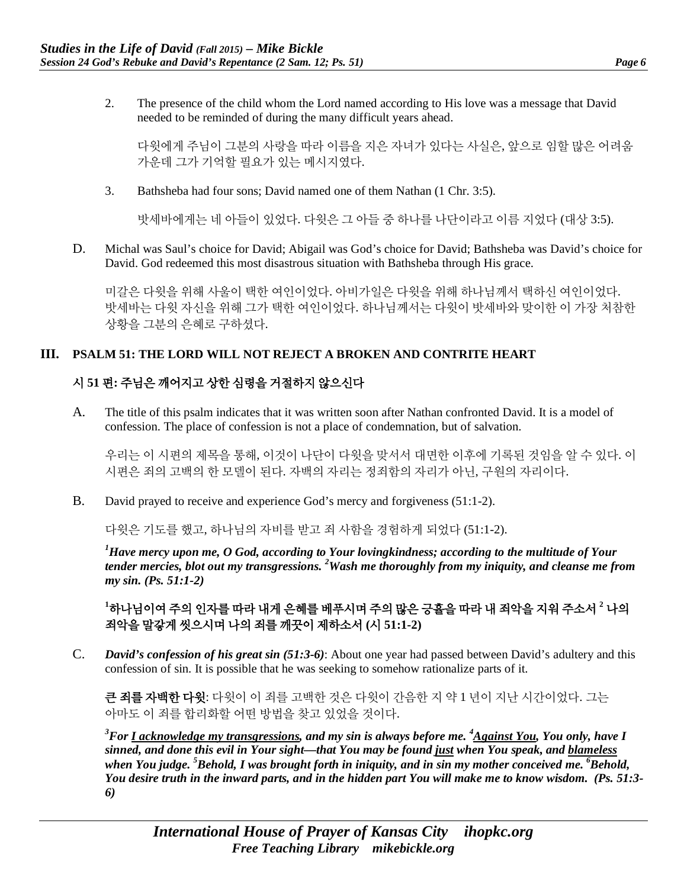2. The presence of the child whom the Lord named according to His love was a message that David needed to be reminded of during the many difficult years ahead.

다윗에게 주님이 그분의 사랑을 따라 이름을 지은 자녀가 있다는 사실은, 앞으로 임할 많은 어려움 가운데 그가 기억할 필요가 있는 메시지였다.

3. Bathsheba had four sons; David named one of them Nathan (1 Chr. 3:5).

밧세바에게는 네 아들이 있었다. 다윗은 그 아들 중 하나를 나단이라고 이름 지었다 (대상 3:5).

D. Michal was Saul's choice for David; Abigail was God's choice for David; Bathsheba was David's choice for David. God redeemed this most disastrous situation with Bathsheba through His grace.

미갈은 다윗을 위해 사울이 택한 여인이었다. 아비가일은 다윗을 위해 하나님께서 택하신 여인이었다. 밧세바는 다윗 자신을 위해 그가 택한 여인이었다. 하나님께서는 다윗이 밧세바와 맞이한 이 가장 처참한 상황을 그분의 은혜로 구하셨다.

#### **III. PSALM 51: THE LORD WILL NOT REJECT A BROKEN AND CONTRITE HEART**

## 시 **51** 편**:** 주님은 깨어지고 상한 심령을 거절하지 않으신다

A. The title of this psalm indicates that it was written soon after Nathan confronted David. It is a model of confession. The place of confession is not a place of condemnation, but of salvation.

우리는 이 시편의 제목을 통해, 이것이 나단이 다윗을 맞서서 대면한 이후에 기록된 것임을 알 수 있다. 이 시편은 죄의 고백의 한 모델이 된다. 자백의 자리는 정죄함의 자리가 아닌, 구원의 자리이다.

B. David prayed to receive and experience God's mercy and forgiveness (51:1-2).

다윗은 기도를 했고, 하나님의 자비를 받고 죄 사함을 경험하게 되었다 (51:1-2).

*1 Have mercy upon me, O God, according to Your lovingkindness; according to the multitude of Your tender mercies, blot out my transgressions. <sup>2</sup> Wash me thoroughly from my iniquity, and cleanse me from my sin. (Ps. 51:1-2)*

**1** 하나님이여 주의 인자를 따라 내게 은혜를 베푸시며 주의 많은 긍휼을 따라 내 죄악을 지워 주소서 **<sup>2</sup>** 나의 죄악을 말갛게 씻으시며 나의 죄를 깨끗이 제하소서 **(**시 **51:1-2)**

C. *David's confession of his great sin (51:3-6)*: About one year had passed between David's adultery and this confession of sin. It is possible that he was seeking to somehow rationalize parts of it.

큰 죄를 자백한 다윗: 다윗이 이 죄를 고백한 것은 다윗이 간음한 지 약 1 년이 지난 시간이었다. 그는 아마도 이 죄를 합리화할 어떤 방법을 찾고 있었을 것이다.

<sup>3</sup> For <u>I acknowledge my transgressions</u>, and my sin is always before me. <sup>4</sup> <u>Against You</u>, You only, have I *sinned, and done this evil in Your sight—that You may be found just when You speak, and blameless when You judge. 5 Behold, I was brought forth in iniquity, and in sin my mother conceived me. 6 Behold, You desire truth in the inward parts, and in the hidden part You will make me to know wisdom. (Ps. 51:3- 6)*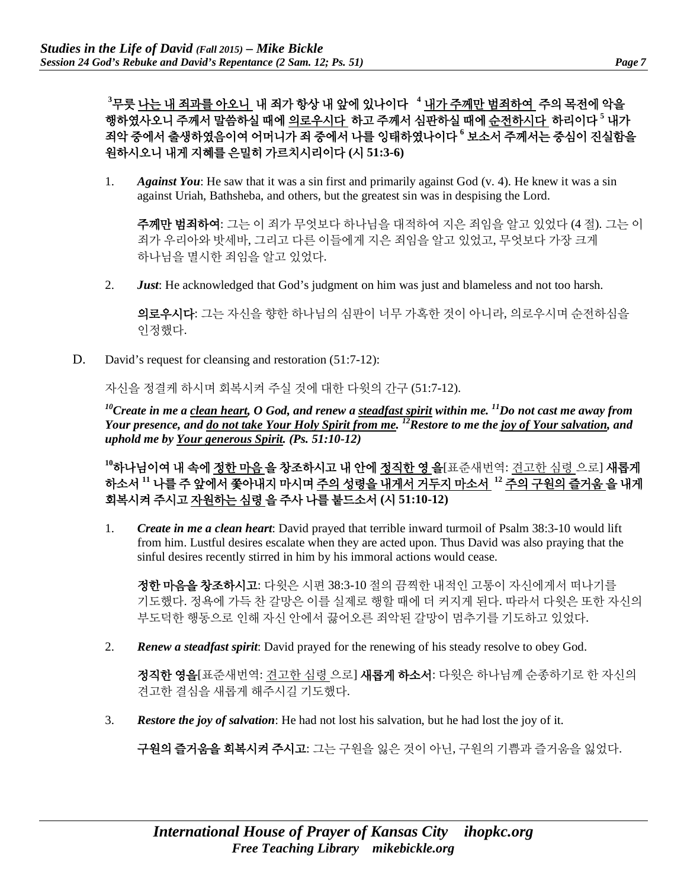**3** 무릇 나는 내 죄과를 아오니 내 죄가 항상 내 앞에 있나이다 **<sup>4</sup>** 내가 주께만 범죄하여 주의 목전에 악을 행하였사오니 주께서 말씀하실 때에 의로우시다 하고 주께서 심판하실 때에 순전하시다 하리이다 **<sup>5</sup>** 내가 죄악 중에서 출생하였음이여 어머니가 죄 중에서 나를 잉태하였나이다 **<sup>6</sup>** 보소서 주께서는 중심이 진실함을 원하시오니 내게 지혜를 은밀히 가르치시리이다 **(**시 **51:3-6)**

1. *Against You*: He saw that it was a sin first and primarily against God (v. 4). He knew it was a sin against Uriah, Bathsheba, and others, but the greatest sin was in despising the Lord.

주께만 범죄하여: 그는 이 죄가 무엇보다 하나님을 대적하여 지은 죄임을 알고 있었다 (4 절). 그는 이 죄가 우리아와 밧세바, 그리고 다른 이들에게 지은 죄임을 알고 있었고, 무엇보다 가장 크게 하나님을 멸시한 죄임을 알고 있었다.

2. *Just*: He acknowledged that God's judgment on him was just and blameless and not too harsh.

의로우시다: 그는 자신을 향한 하나님의 심판이 너무 가혹한 것이 아니라, 의로우시며 순전하심을 인정했다.

D. David's request for cleansing and restoration (51:7-12):

자신을 정결케 하시며 회복시켜 주실 것에 대한 다윗의 간구 (51:7-12).

*10Create in me a clean heart, O God, and renew a steadfast spirit within me. 11Do not cast me away from Your presence, and do not take Your Holy Spirit from me. 12Restore to me the joy of Your salvation, and uphold me by Your generous Spirit. (Ps. 51:10-12)*

<sup>10</sup>하나님이여 내 속에 <u>정한 마음</u> 을 창조하시고 내 안에 <u>정직한 영 을</u>[표준새번역: <u>견고한 심령 </u>으로] 새롭게 하소서 **<sup>11</sup>** 나를 주 앞에서 쫓아내지 마시며 주의 성령을 내게서 거두지 마소서 **<sup>12</sup>** 주의 구원의 즐거움 을 내게 회복시켜 주시고 자원하는 심령 을 주사 나를 붙드소서 **(**시 **51:10-12)**

1. *Create in me a clean heart*: David prayed that terrible inward turmoil of Psalm 38:3-10 would lift from him. Lustful desires escalate when they are acted upon. Thus David was also praying that the sinful desires recently stirred in him by his immoral actions would cease.

정한 마음을 창조하시고: 다윗은 시편 38:3-10 절의 끔찍한 내적인 고통이 자신에게서 떠나기를 기도했다. 정욕에 가득 찬 갈망은 이를 실제로 행할 때에 더 커지게 된다. 따라서 다윗은 또한 자신의 부도덕한 행동으로 인해 자신 안에서 끓어오른 죄악된 갈망이 멈추기를 기도하고 있었다.

2. *Renew a steadfast spirit*: David prayed for the renewing of his steady resolve to obey God.

**정직한 영을**[표준새번역: 견고한 심령 으로] **새롭게 하소서**: 다윗은 하나님께 순종하기로 한 자신의 견고한 결심을 새롭게 해주시길 기도했다.

3. *Restore the joy of salvation*: He had not lost his salvation, but he had lost the joy of it.

구원의 즐거움을 회복시켜 주시고: 그는 구원을 잃은 것이 아닌, 구원의 기쁨과 즐거움을 잃었다.